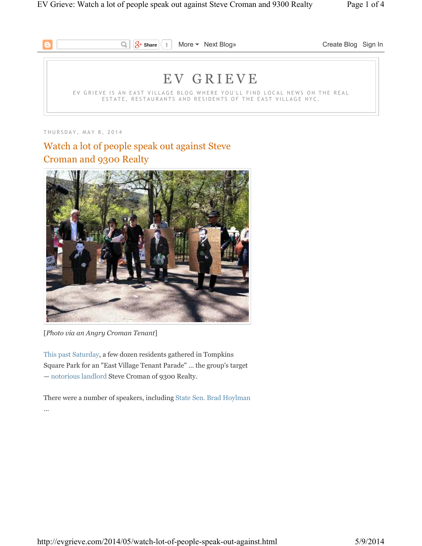

T H U R S D A Y , M A Y 8 , 2 0 1 4

# Watch a lot of people speak out against Steve Croman and 9300 Realty



[*Photo via an Angry Croman Tenant*]

This past Saturday, a few dozen residents gathered in Tompkins Square Park for an "East Village Tenant Parade" … the group's target — notorious landlord Steve Croman of 9300 Realty.

There were a number of speakers, including State Sen. Brad Hoylman …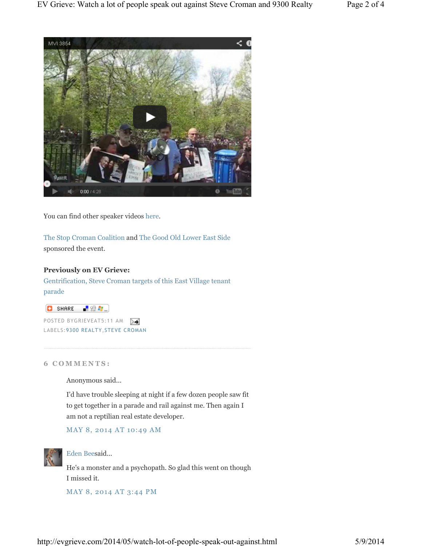

You can find other speaker videos here.

The Stop Croman Coalition and The Good Old Lower East Side sponsored the event.

## **Previously on EV Grieve:**

Gentrification, Steve Croman targets of this East Village tenant parade

 $\begin{bmatrix} 1 & 0 & 0 \\ 0 & 0 & 0 \\ 0 & 0 & 0 \end{bmatrix}$ 

POSTED BYGRIEVEAT5:11 AM LABELS:9300 REALTY,STEVE CROMAN

### **6 C O M M E N T S :**

Anonymous said...

I'd have trouble sleeping at night if a few dozen people saw fit to get together in a parade and rail against me. Then again I am not a reptilian real estate developer.

MAY 8, 2014 AT 10:49 AM



# Eden Beesaid...

He's a monster and a psychopath. So glad this went on though I missed it.

MAY 8, 2014 AT 3:44 PM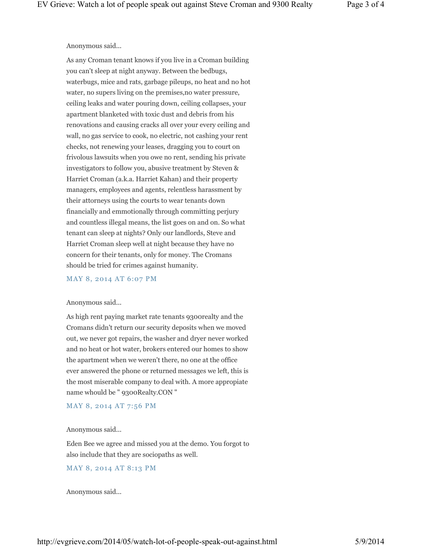## Anonymous said...

As any Croman tenant knows if you live in a Croman building you can't sleep at night anyway. Between the bedbugs, waterbugs, mice and rats, garbage pileups, no heat and no hot water, no supers living on the premises,no water pressure, ceiling leaks and water pouring down, ceiling collapses, your apartment blanketed with toxic dust and debris from his renovations and causing cracks all over your every ceiling and wall, no gas service to cook, no electric, not cashing your rent checks, not renewing your leases, dragging you to court on frivolous lawsuits when you owe no rent, sending his private investigators to follow you, abusive treatment by Steven & Harriet Croman (a.k.a. Harriet Kahan) and their property managers, employees and agents, relentless harassment by their attorneys using the courts to wear tenants down financially and emmotionally through committing perjury and countless illegal means, the list goes on and on. So what tenant can sleep at nights? Only our landlords, Steve and Harriet Croman sleep well at night because they have no concern for their tenants, only for money. The Cromans should be tried for crimes against humanity.

#### MAY 8, 2014 AT 6:07 PM

#### Anonymous said...

As high rent paying market rate tenants 9300realty and the Cromans didn't return our security deposits when we moved out, we never got repairs, the washer and dryer never worked and no heat or hot water, brokers entered our homes to show the apartment when we weren't there, no one at the office ever answered the phone or returned messages we left, this is the most miserable company to deal with. A more appropiate name whould be " 9300Realty.CON "

# MAY 8, 2014 AT 7:56 PM

#### Anonymous said...

Eden Bee we agree and missed you at the demo. You forgot to also include that they are sociopaths as well.

## MAY 8, 2014 AT 8:13 PM

Anonymous said...